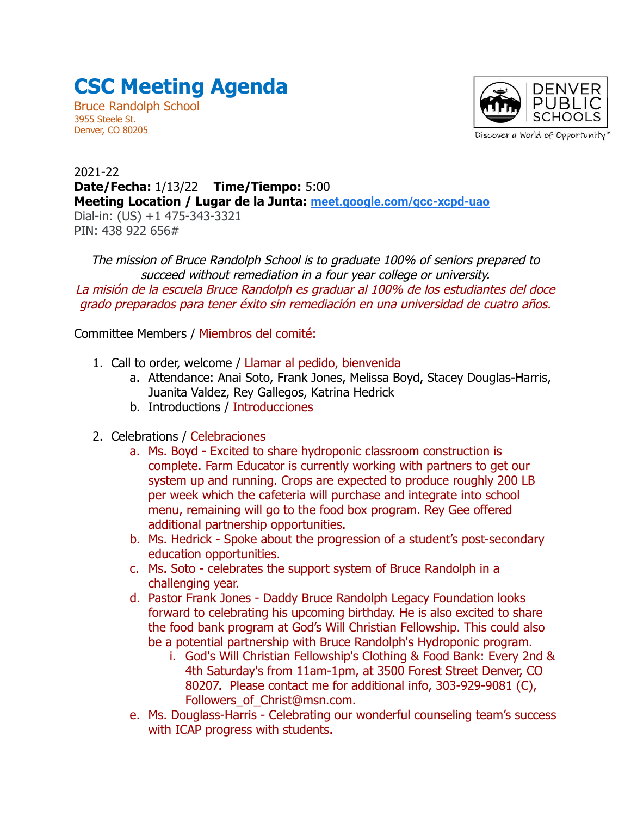## **CSC Meeting Agenda**

Bruce Randolph School 3955 Steele St. Denver, CO 80205



2021-22 **Date/Fecha:** 1/13/22 **Time/Tiempo:** 5:00 **Meeting Location / Lugar de la Junta: [meet.google.com/gcc-xcpd-uao](http://meet.google.com/gcc-xcpd-uao)** Dial-in: (US) +1 475-343-3321 PIN: 438 922 656#

The mission of Bruce Randolph School is to graduate 100% of seniors prepared to succeed without remediation in a four year college or university. La misión de la escuela Bruce Randolph es graduar al 100% de los estudiantes del doce grado preparados para tener éxito sin remediación en una universidad de cuatro años.

Committee Members / Miembros del comité:

- 1. Call to order, welcome / Llamar al pedido, bienvenida
	- a. Attendance: Anai Soto, Frank Jones, Melissa Boyd, Stacey Douglas-Harris, Juanita Valdez, Rey Gallegos, Katrina Hedrick
	- b. Introductions / Introducciones
- 2. Celebrations / Celebraciones
	- a. Ms. Boyd Excited to share hydroponic classroom construction is complete. Farm Educator is currently working with partners to get our system up and running. Crops are expected to produce roughly 200 LB per week which the cafeteria will purchase and integrate into school menu, remaining will go to the food box program. Rey Gee offered additional partnership opportunities.
	- b. Ms. Hedrick Spoke about the progression of a student's post-secondary education opportunities.
	- c. Ms. Soto celebrates the support system of Bruce Randolph in a challenging year.
	- d. Pastor Frank Jones Daddy Bruce Randolph Legacy Foundation looks forward to celebrating his upcoming birthday. He is also excited to share the food bank program at God's Will Christian Fellowship. This could also be a potential partnership with Bruce Randolph's Hydroponic program.
		- i. God's Will Christian Fellowship's Clothing & Food Bank: Every 2nd & 4th Saturday's from 11am-1pm, at 3500 Forest Street Denver, CO 80207. Please contact me for additional info, 303-929-9081 (C), Followers\_of\_Christ@msn.com.
	- e. Ms. Douglass-Harris Celebrating our wonderful counseling team's success with ICAP progress with students.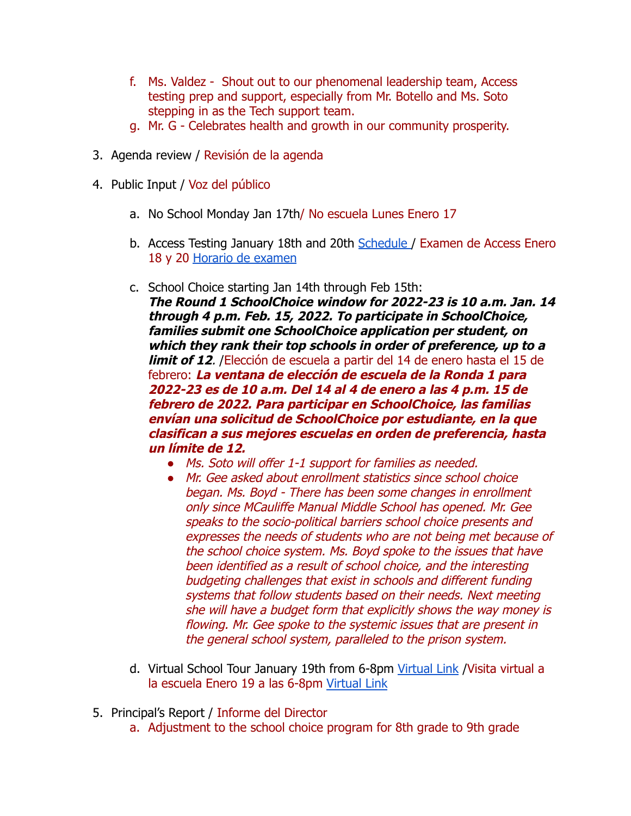- f. Ms. Valdez Shout out to our phenomenal leadership team, Access testing prep and support, especially from Mr. Botello and Ms. Soto stepping in as the Tech support team.
- g. Mr. G Celebrates health and growth in our community prosperity.
- 3. Agenda review / Revisión de la agenda
- 4. Public Input / Voz del público
	- a. No School Monday Jan 17th/ No escuela Lunes Enero 17
	- b. Access Testing January 18th and 20th [Schedule](https://drive.google.com/file/d/1fn_GH9gCcJfKC4jtuaba9sjnCwAh9CiQ/view) / Examen de Access Enero 18 y 20 [Horario de examen](https://drive.google.com/file/d/1fn_GH9gCcJfKC4jtuaba9sjnCwAh9CiQ/view)
	- c. School Choice starting Jan 14th through Feb 15th:

**The Round 1 SchoolChoice window for 2022-23 is 10 a.m. Jan. 14 through 4 p.m. Feb. 15, 2022. To participate in SchoolChoice, families submit one SchoolChoice application per student, on which they rank their top schools in order of preference, up to a limit of 12**. /Elección de escuela a partir del 14 de enero hasta el 15 de febrero: **La ventana de elección de escuela de la Ronda 1 para 2022-23 es de 10 a.m. Del 14 al 4 de enero a las 4 p.m. 15 de febrero de 2022. Para participar en SchoolChoice, las familias envían una solicitud de SchoolChoice por estudiante, en la que clasifican a sus mejores escuelas en orden de preferencia, hasta un límite de 12.**

- *●* Ms. Soto will offer 1-1 support for families as needed.
- *●* Mr. Gee asked about enrollment statistics since school choice began. Ms. Boyd - There has been some changes in enrollment only since MCauliffe Manual Middle School has opened. Mr. Gee speaks to the socio-political barriers school choice presents and expresses the needs of students who are not being met because of the school choice system. Ms. Boyd spoke to the issues that have been identified as a result of school choice, and the interesting budgeting challenges that exist in schools and different funding systems that follow students based on their needs. Next meeting she will have a budget form that explicitly shows the way money is flowing. Mr. Gee spoke to the systemic issues that are present in the general school system, paralleled to the prison system.
- d. Virtual School Tour January 19th from 6-8pm [Virtual](http://meet.google.com/qki-dcyu-xcv) Link /Visita virtual a la escuela Enero 19 a las 6-8pm [Virtual Link](http://meet.google.com/qki-dcyu-xcv)
- 5. Principal's Report / Informe del Director
	- a. Adjustment to the school choice program for 8th grade to 9th grade